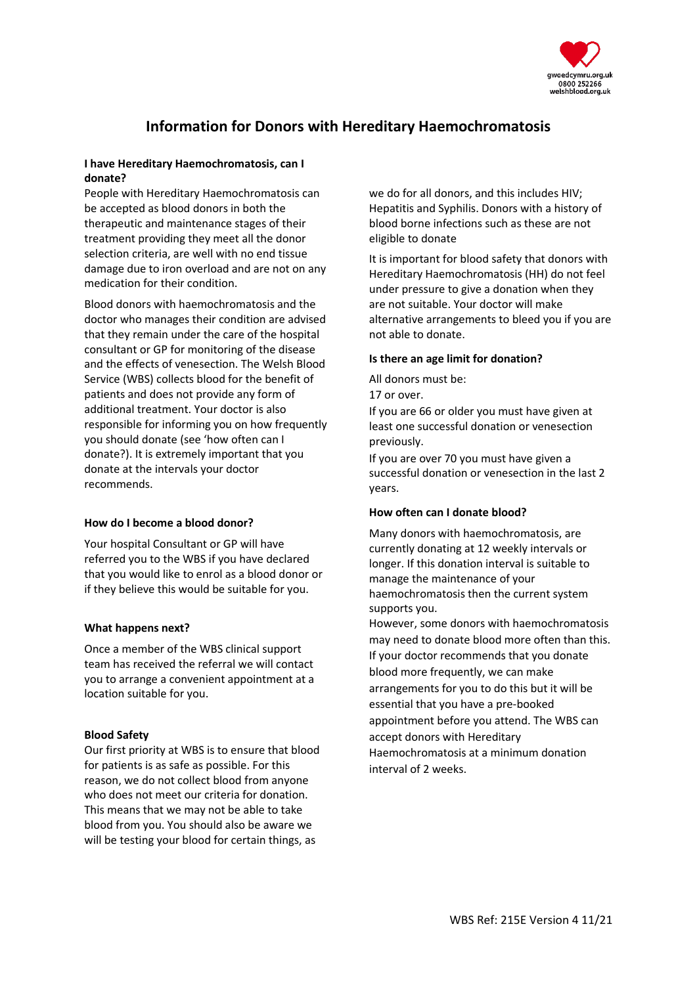

# **Information for Donors with Hereditary Haemochromatosis**

## **I have Hereditary Haemochromatosis, can I donate?**

People with Hereditary Haemochromatosis can be accepted as blood donors in both the therapeutic and maintenance stages of their treatment providing they meet all the donor selection criteria, are well with no end tissue damage due to iron overload and are not on any medication for their condition.

Blood donors with haemochromatosis and the doctor who manages their condition are advised that they remain under the care of the hospital consultant or GP for monitoring of the disease and the effects of venesection. The Welsh Blood Service (WBS) collects blood for the benefit of patients and does not provide any form of additional treatment. Your doctor is also responsible for informing you on how frequently you should donate (see 'how often can I donate?). It is extremely important that you donate at the intervals your doctor recommends.

## **How do I become a blood donor?**

Your hospital Consultant or GP will have referred you to the WBS if you have declared that you would like to enrol as a blood donor or if they believe this would be suitable for you.

#### **What happens next?**

Once a member of the WBS clinical support team has received the referral we will contact you to arrange a convenient appointment at a location suitable for you.

#### **Blood Safety**

Our first priority at WBS is to ensure that blood for patients is as safe as possible. For this reason, we do not collect blood from anyone who does not meet our criteria for donation. This means that we may not be able to take blood from you. You should also be aware we will be testing your blood for certain things, as

we do for all donors, and this includes HIV; Hepatitis and Syphilis. Donors with a history of blood borne infections such as these are not eligible to donate

It is important for blood safety that donors with Hereditary Haemochromatosis (HH) do not feel under pressure to give a donation when they are not suitable. Your doctor will make alternative arrangements to bleed you if you are not able to donate.

#### **Is there an age limit for donation?**

All donors must be: 17 or over.

If you are 66 or older you must have given at least one successful donation or venesection previously.

If you are over 70 you must have given a successful donation or venesection in the last 2 years.

#### **How often can I donate blood?**

Many donors with haemochromatosis, are currently donating at 12 weekly intervals or longer. If this donation interval is suitable to manage the maintenance of your haemochromatosis then the current system supports you.

However, some donors with haemochromatosis may need to donate blood more often than this. If your doctor recommends that you donate blood more frequently, we can make arrangements for you to do this but it will be essential that you have a pre-booked appointment before you attend. The WBS can accept donors with Hereditary Haemochromatosis at a minimum donation interval of 2 weeks.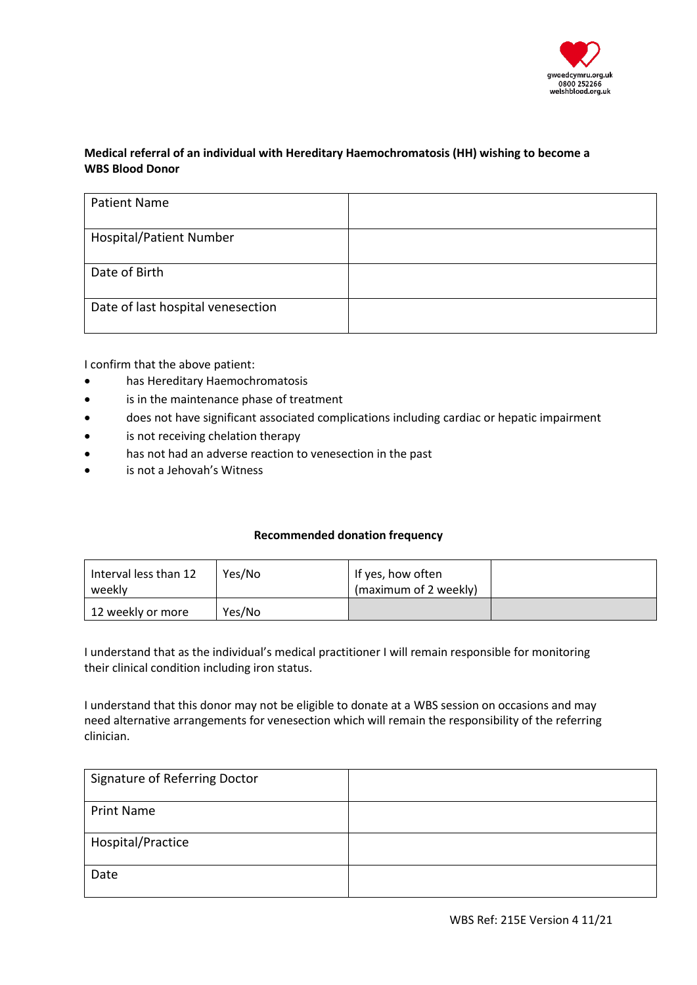

# **Medical referral of an individual with Hereditary Haemochromatosis (HH) wishing to become a WBS Blood Donor**

| <b>Patient Name</b>               |  |
|-----------------------------------|--|
| <b>Hospital/Patient Number</b>    |  |
| Date of Birth                     |  |
| Date of last hospital venesection |  |

I confirm that the above patient:

- has Hereditary Haemochromatosis
- is in the maintenance phase of treatment
- does not have significant associated complications including cardiac or hepatic impairment
- is not receiving chelation therapy
- has not had an adverse reaction to venesection in the past
- is not a Jehovah's Witness

## **Recommended donation frequency**

| Interval less than 12<br>weekly | Yes/No | If yes, how often<br>(maximum of 2 weekly) |  |
|---------------------------------|--------|--------------------------------------------|--|
| 12 weekly or more               | Yes/No |                                            |  |

I understand that as the individual's medical practitioner I will remain responsible for monitoring their clinical condition including iron status.

I understand that this donor may not be eligible to donate at a WBS session on occasions and may need alternative arrangements for venesection which will remain the responsibility of the referring clinician.

| Signature of Referring Doctor |  |
|-------------------------------|--|
| <b>Print Name</b>             |  |
| Hospital/Practice             |  |
| Date                          |  |